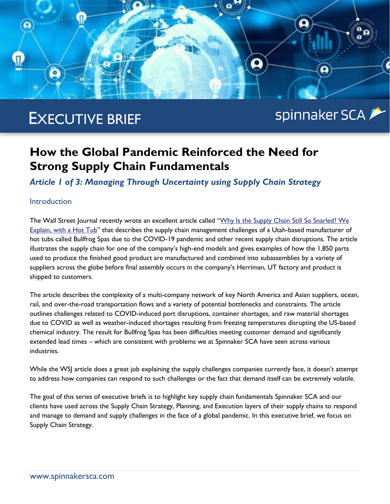

# EXECUTIVE BRIEF

# spinnaker SCA

# **How the Global Pandemic Reinforced the Need for Strong Supply Chain Fundamentals**

*Article 1 of 3: Managing Through Uncertainty using Supply Chain Strategy*

### **Introduction**

The Wall Street Journal recently wrote an excellent article called "Why Is the Supply Chain Still So Snarled? We [Explain, with a Hot Tub](https://www.wsj.com/articles/why-is-the-supply-chain-still-so-snarled-we-explain-with-a-hot-tub-11629987531?st=cch487xyic4u8sb&reflink=share_mobilewebshare)" that describes the supply chain management challenges of a Utah-based manufacturer of hot tubs called Bullfrog Spas due to the COVID-19 pandemic and other recent supply chain disruptions. The article illustrates the supply chain for one of the company's high-end models and gives examples of how the 1,850 parts used to produce the finished good product are manufactured and combined into subassemblies by a variety of suppliers across the globe before final assembly occurs in the company's Herriman, UT factory and product is shipped to customers.

The article describes the complexity of a multi-company network of key North America and Asian suppliers, ocean, rail, and over-the-road transportation flows and a variety of potential bottlenecks and constraints. The article outlines challenges related to COVID-induced port disruptions, container shortages, and raw material shortages due to COVID as well as weather-induced shortages resulting from freezing temperatures disrupting the US-based chemical industry. The result for Bullfrog Spas has been difficulties meeting customer demand and significantly extended lead times – which are consistent with problems we at Spinnaker SCA have seen across various industries.

While the WSJ article does a great job explaining the supply challenges companies currently face, it doesn't attempt to address how companies can respond to such challenges or the fact that demand itself can be extremely volatile.

The goal of this series of executive briefs is to highlight key supply chain fundamentals Spinnaker SCA and our clients have used across the Supply Chain Strategy, Planning, and Execution layers of their supply chains to respond and manage to demand and supply challenges in the face of a global pandemic. In this executive brief, we focus on Supply Chain Strategy.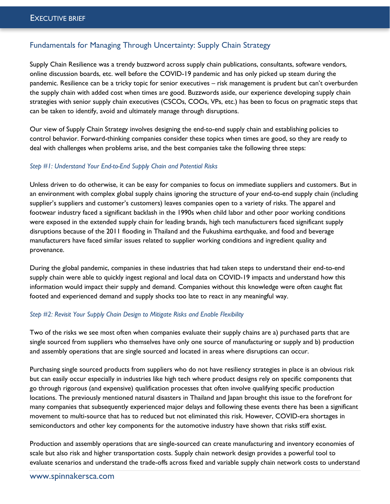## Fundamentals for Managing Through Uncertainty: Supply Chain Strategy

Supply Chain Resilience was a trendy buzzword across supply chain publications, consultants, software vendors, online discussion boards, etc. well before the COVID-19 pandemic and has only picked up steam during the pandemic. Resilience can be a tricky topic for senior executives – risk management is prudent but can't overburden the supply chain with added cost when times are good. Buzzwords aside, our experience developing supply chain strategies with senior supply chain executives (CSCOs, COOs, VPs, etc.) has been to focus on pragmatic steps that can be taken to identify, avoid and ultimately manage through disruptions.

Our view of Supply Chain Strategy involves designing the end-to-end supply chain and establishing policies to control behavior. Forward-thinking companies consider these topics when times are good, so they are ready to deal with challenges when problems arise, and the best companies take the following three steps:

#### *Step #1: Understand Your End-to-End Supply Chain and Potential Risks*

Unless driven to do otherwise, it can be easy for companies to focus on immediate suppliers and customers. But in an environment with complex global supply chains ignoring the structure of your end-to-end supply chain (including supplier's suppliers and customer's customers) leaves companies open to a variety of risks. The apparel and footwear industry faced a significant backlash in the 1990s when child labor and other poor working conditions were exposed in the extended supply chain for leading brands, high tech manufacturers faced significant supply disruptions because of the 2011 flooding in Thailand and the Fukushima earthquake, and food and beverage manufacturers have faced similar issues related to supplier working conditions and ingredient quality and provenance.

During the global pandemic, companies in these industries that had taken steps to understand their end-to-end supply chain were able to quickly ingest regional and local data on COVID-19 impacts and understand how this information would impact their supply and demand. Companies without this knowledge were often caught flat footed and experienced demand and supply shocks too late to react in any meaningful way.

#### *Step #2: Revisit Your Supply Chain Design to Mitigate Risks and Enable Flexibility*

Two of the risks we see most often when companies evaluate their supply chains are a) purchased parts that are single sourced from suppliers who themselves have only one source of manufacturing or supply and b) production and assembly operations that are single sourced and located in areas where disruptions can occur.

Purchasing single sourced products from suppliers who do not have resiliency strategies in place is an obvious risk but can easily occur especially in industries like high tech where product designs rely on specific components that go through rigorous (and expensive) qualification processes that often involve qualifying specific production locations. The previously mentioned natural disasters in Thailand and Japan brought this issue to the forefront for many companies that subsequently experienced major delays and following these events there has been a significant movement to multi-source that has to reduced but not eliminated this risk. However, COVID-era shortages in semiconductors and other key components for the automotive industry have shown that risks stiff exist.

Production and assembly operations that are single-sourced can create manufacturing and inventory economies of scale but also risk and higher transportation costs. Supply chain network design provides a powerful tool to evaluate scenarios and understand the trade-offs across fixed and variable supply chain network costs to understand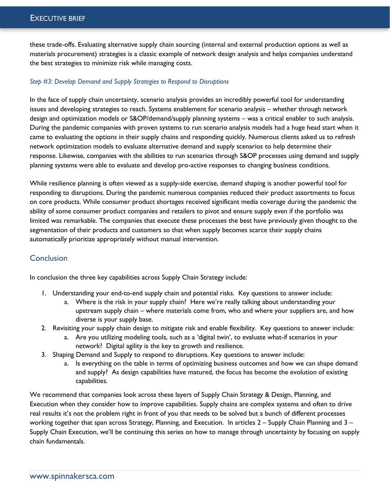these trade-offs. Evaluating alternative supply chain sourcing (internal and external production options as well as materials procurement) strategies is a classic example of network design analysis and helps companies understand the best strategies to minimize risk while managing costs.

#### *Step #3: Develop Demand and Supply Strategies to Respond to Disruptions*

In the face of supply chain uncertainty, scenario analysis provides an incredibly powerful tool for understanding issues and developing strategies to reach. Systems enablement for scenario analysis – whether through network design and optimization models or S&OP/demand/supply planning systems – was a critical enabler to such analysis. During the pandemic companies with proven systems to run scenario analysis models had a huge head start when it came to evaluating the options in their supply chains and responding quickly. Numerous clients asked us to refresh network optimization models to evaluate alternative demand and supply scenarios to help determine their response. Likewise, companies with the abilities to run scenarios through S&OP processes using demand and supply planning systems were able to evaluate and develop pro-active responses to changing business conditions.

While resilience planning is often viewed as a supply-side exercise, demand shaping is another powerful tool for responding to disruptions. During the pandemic numerous companies reduced their product assortments to focus on core products. While consumer product shortages received significant media coverage during the pandemic the ability of some consumer product companies and retailers to pivot and ensure supply even if the portfolio was limited was remarkable. The companies that execute these processes the best have previously given thought to the segmentation of their products and customers so that when supply becomes scarce their supply chains automatically prioritize appropriately without manual intervention.

# **Conclusion**

In conclusion the three key capabilities across Supply Chain Strategy include:

- 1. Understanding your end-to-end supply chain and potential risks. Key questions to answer include:
	- a. Where is the risk in your supply chain? Here we're really talking about understanding your upstream supply chain – where materials come from, who and where your suppliers are, and how diverse is your supply base.
- 2. Revisiting your supply chain design to mitigate risk and enable flexibility. Key questions to answer include:
	- a. Are you utilizing modeling tools, such as a 'digital twin', to evaluate what-if scenarios in your network? Digital agility is the key to growth and resilience.
- 3. Shaping Demand and Supply to respond to disruptions. Key questions to answer include:
	- a. Is everything on the table in terms of optimizing business outcomes and how we can shape demand and supply? As design capabilities have matured, the focus has become the evolution of existing capabilities.

We recommend that companies look across these layers of Supply Chain Strategy & Design, Planning, and Execution when they consider how to improve capabilities. Supply chains are complex systems and often to drive real results it's not the problem right in front of you that needs to be solved but a bunch of different processes working together that span across Strategy, Planning, and Execution. In articles 2 – Supply Chain Planning and 3 – Supply Chain Execution, we'll be continuing this series on how to manage through uncertainty by focusing on supply chain fundamentals.